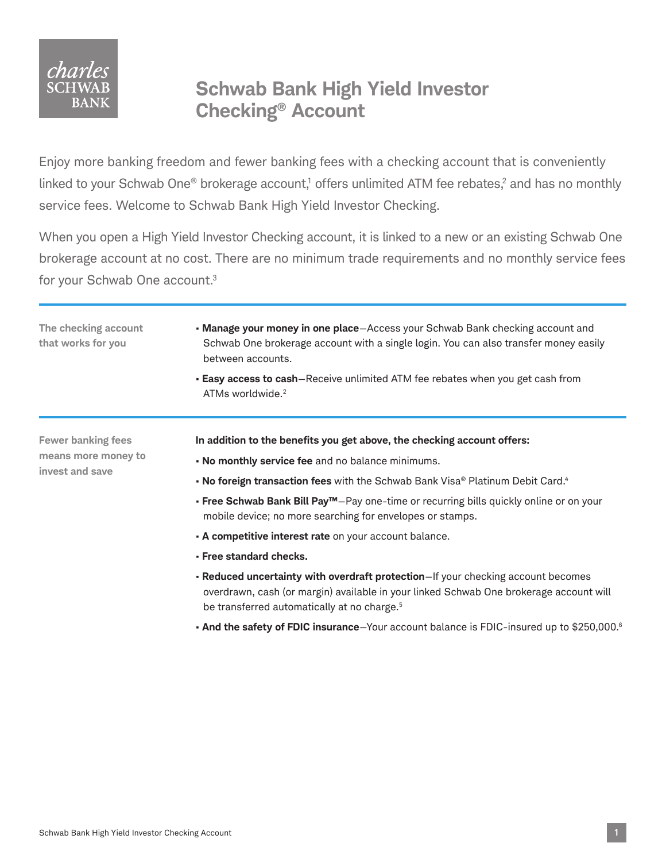

## **Schwab Bank High Yield Investor Checking® Account**

Enjoy more banking freedom and fewer banking fees with a checking account that is conveniently linked to your Schwab One® brokerage account,<sup>1</sup> offers unlimited ATM fee rebates,<sup>2</sup> and has no monthly service fees. Welcome to Schwab Bank High Yield Investor Checking.

When you open a High Yield Investor Checking account, it is linked to a new or an existing Schwab One brokerage account at no cost. There are no minimum trade requirements and no monthly service fees for your Schwab One account.3

**The checking account that works for you** • **Manage your money in one place**—Access your Schwab Bank checking account and Schwab One brokerage account with a single login. You can also transfer money easily between accounts. • **Easy access to cash**—Receive unlimited ATM fee rebates when you get cash from ATMs worldwide.<sup>2</sup> **Fewer banking fees means more money to invest and save In addition to the benefits you get above, the checking account offers:** • **No monthly service fee** and no balance minimums. • **No foreign transaction fees** with the Schwab Bank Visa® Platinum Debit Card.4 • **Free Schwab Bank Bill Pay™**—Pay one-time or recurring bills quickly online or on your mobile device; no more searching for envelopes or stamps. • **A competitive interest rate** on your account balance. • **Free standard checks.** • **Reduced uncertainty with overdraft protection**—If your checking account becomes overdrawn, cash (or margin) available in your linked Schwab One brokerage account will be transferred automatically at no charge.<sup>5</sup>

• **And the safety of FDIC insurance**—Your account balance is FDIC-insured up to \$250,000.6